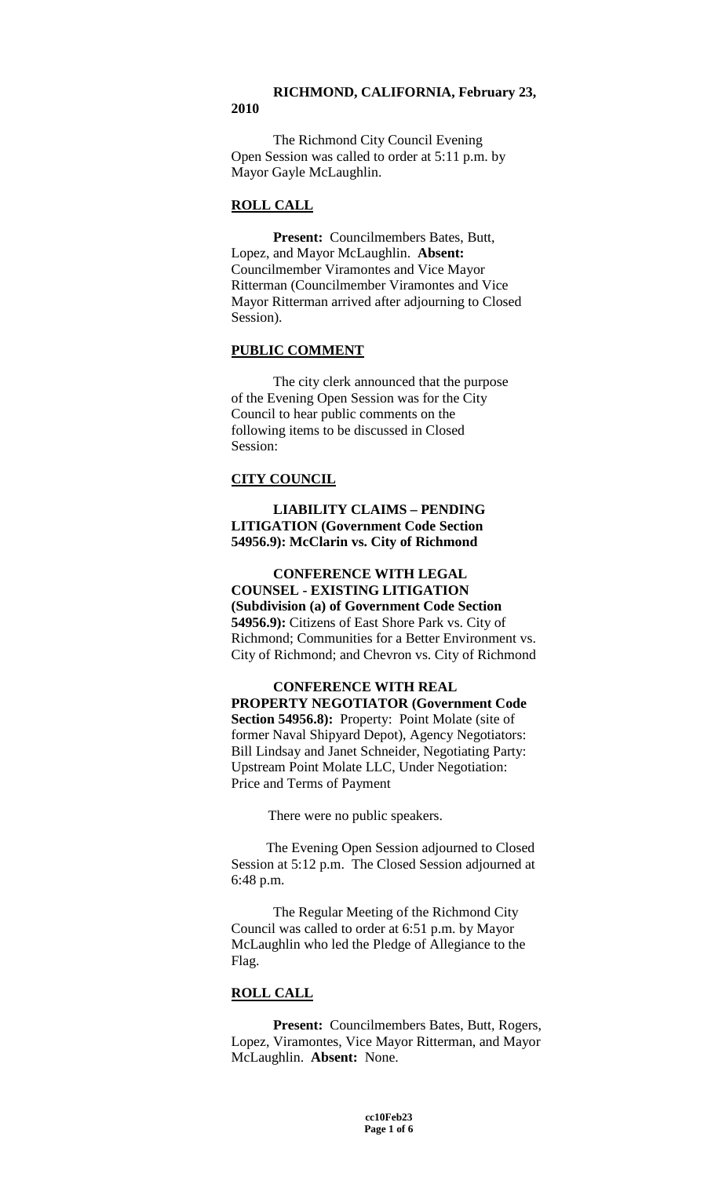### **RICHMOND, CALIFORNIA, February 23, 2010**

The Richmond City Council Evening Open Session was called to order at 5:11 p.m. by Mayor Gayle McLaughlin.

# **ROLL CALL**

**Present:** Councilmembers Bates, Butt, Lopez, and Mayor McLaughlin. **Absent:** Councilmember Viramontes and Vice Mayor Ritterman (Councilmember Viramontes and Vice Mayor Ritterman arrived after adjourning to Closed Session).

### **PUBLIC COMMENT**

The city clerk announced that the purpose of the Evening Open Session was for the City Council to hear public comments on the following items to be discussed in Closed Session:

# **CITY COUNCIL**

# **LIABILITY CLAIMS – PENDING LITIGATION (Government Code Section 54956.9): McClarin vs. City of Richmond**

**CONFERENCE WITH LEGAL COUNSEL - EXISTING LITIGATION (Subdivision (a) of Government Code Section 54956.9):** Citizens of East Shore Park vs. City of Richmond; Communities for a Better Environment vs. City of Richmond; and Chevron vs. City of Richmond

## **CONFERENCE WITH REAL PROPERTY NEGOTIATOR (Government Code Section 54956.8):** Property: Point Molate (site of former Naval Shipyard Depot), Agency Negotiators: Bill Lindsay and Janet Schneider, Negotiating Party:

Upstream Point Molate LLC, Under Negotiation: Price and Terms of Payment

There were no public speakers.

The Evening Open Session adjourned to Closed Session at 5:12 p.m. The Closed Session adjourned at 6:48 p.m.

The Regular Meeting of the Richmond City Council was called to order at 6:51 p.m. by Mayor McLaughlin who led the Pledge of Allegiance to the Flag.

# **ROLL CALL**

**Present:** Councilmembers Bates, Butt, Rogers, Lopez, Viramontes, Vice Mayor Ritterman, and Mayor McLaughlin. **Absent:** None.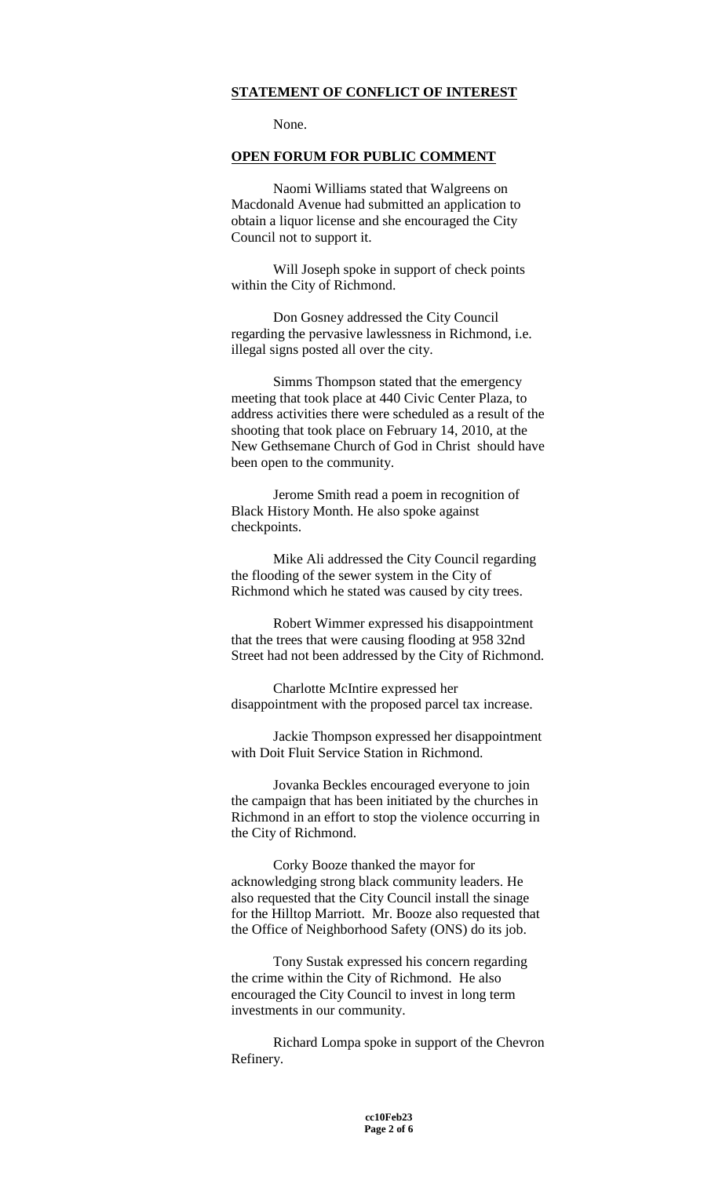## **STATEMENT OF CONFLICT OF INTEREST**

None.

### **OPEN FORUM FOR PUBLIC COMMENT**

Naomi Williams stated that Walgreens on Macdonald Avenue had submitted an application to obtain a liquor license and she encouraged the City Council not to support it.

Will Joseph spoke in support of check points within the City of Richmond.

Don Gosney addressed the City Council regarding the pervasive lawlessness in Richmond, i.e. illegal signs posted all over the city.

Simms Thompson stated that the emergency meeting that took place at 440 Civic Center Plaza, to address activities there were scheduled as a result of the shooting that took place on February 14, 2010, at the New Gethsemane Church of God in Christ should have been open to the community.

Jerome Smith read a poem in recognition of Black History Month. He also spoke against checkpoints.

Mike Ali addressed the City Council regarding the flooding of the sewer system in the City of Richmond which he stated was caused by city trees.

Robert Wimmer expressed his disappointment that the trees that were causing flooding at 958 32nd Street had not been addressed by the City of Richmond.

Charlotte McIntire expressed her disappointment with the proposed parcel tax increase.

Jackie Thompson expressed her disappointment with Doit Fluit Service Station in Richmond.

Jovanka Beckles encouraged everyone to join the campaign that has been initiated by the churches in Richmond in an effort to stop the violence occurring in the City of Richmond.

Corky Booze thanked the mayor for acknowledging strong black community leaders. He also requested that the City Council install the sinage for the Hilltop Marriott. Mr. Booze also requested that the Office of Neighborhood Safety (ONS) do its job.

Tony Sustak expressed his concern regarding the crime within the City of Richmond. He also encouraged the City Council to invest in long term investments in our community.

Richard Lompa spoke in support of the Chevron Refinery.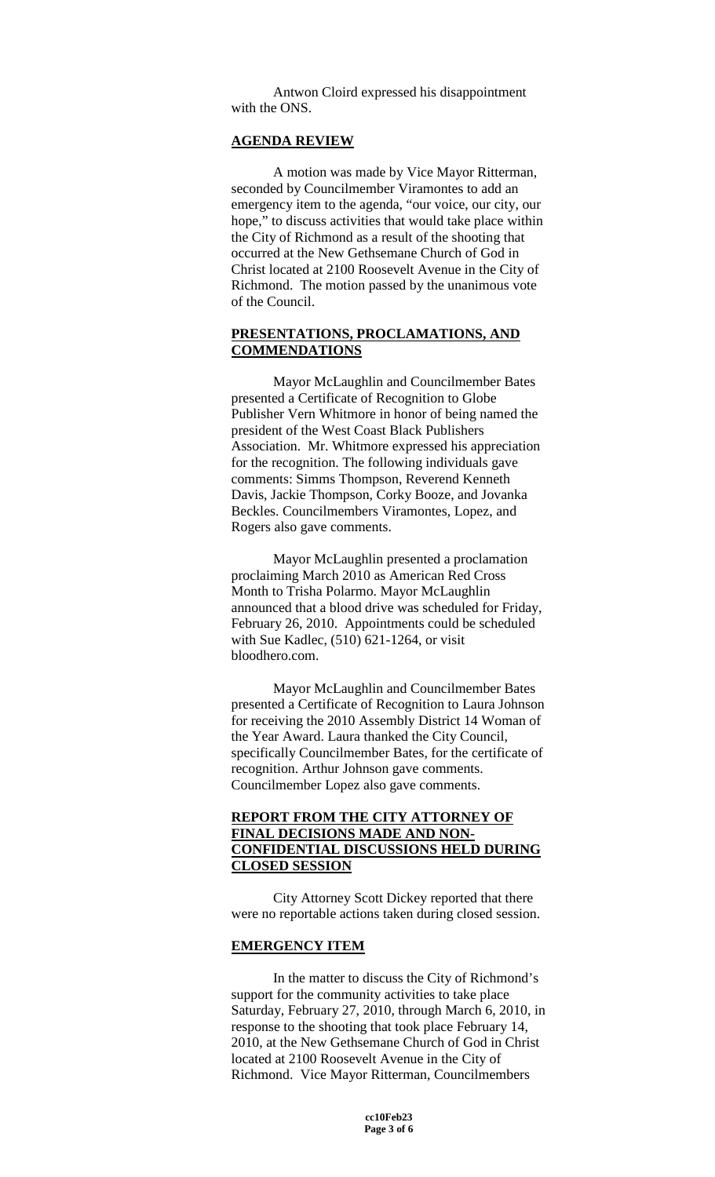Antwon Cloird expressed his disappointment with the ONS.

## **AGENDA REVIEW**

A motion was made by Vice Mayor Ritterman, seconded by Councilmember Viramontes to add an emergency item to the agenda, "our voice, our city, our hope," to discuss activities that would take place within the City of Richmond as a result of the shooting that occurred at the New Gethsemane Church of God in Christ located at 2100 Roosevelt Avenue in the City of Richmond. The motion passed by the unanimous vote of the Council.

## **PRESENTATIONS, PROCLAMATIONS, AND COMMENDATIONS**

Mayor McLaughlin and Councilmember Bates presented a Certificate of Recognition to Globe Publisher Vern Whitmore in honor of being named the president of the West Coast Black Publishers Association. Mr. Whitmore expressed his appreciation for the recognition. The following individuals gave comments: Simms Thompson, Reverend Kenneth Davis, Jackie Thompson, Corky Booze, and Jovanka Beckles. Councilmembers Viramontes, Lopez, and Rogers also gave comments.

Mayor McLaughlin presented a proclamation proclaiming March 2010 as American Red Cross Month to Trisha Polarmo. Mayor McLaughlin announced that a blood drive was scheduled for Friday, February 26, 2010. Appointments could be scheduled with Sue Kadlec, (510) 621-1264, or visit bloodhero.com.

Mayor McLaughlin and Councilmember Bates presented a Certificate of Recognition to Laura Johnson for receiving the 2010 Assembly District 14 Woman of the Year Award. Laura thanked the City Council, specifically Councilmember Bates, for the certificate of recognition. Arthur Johnson gave comments. Councilmember Lopez also gave comments.

# **REPORT FROM THE CITY ATTORNEY OF FINAL DECISIONS MADE AND NON-CONFIDENTIAL DISCUSSIONS HELD DURING CLOSED SESSION**

City Attorney Scott Dickey reported that there were no reportable actions taken during closed session.

#### **EMERGENCY ITEM**

In the matter to discuss the City of Richmond's support for the community activities to take place Saturday, February 27, 2010, through March 6, 2010, in response to the shooting that took place February 14, 2010, at the New Gethsemane Church of God in Christ located at 2100 Roosevelt Avenue in the City of Richmond. Vice Mayor Ritterman, Councilmembers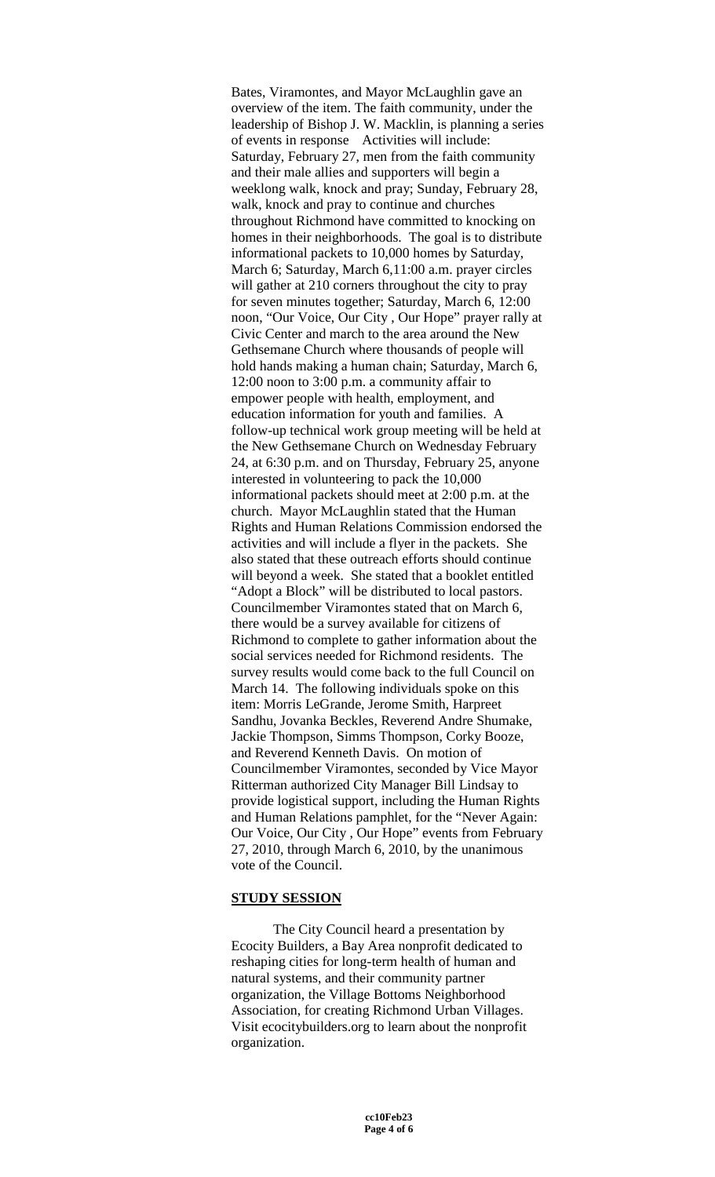Bates, Viramontes, and Mayor McLaughlin gave an overview of the item. The faith community, under the leadership of Bishop J. W. Macklin, is planning a series of events in response Activities will include: Saturday, February 27, men from the faith community and their male allies and supporters will begin a weeklong walk, knock and pray; Sunday, February 28, walk, knock and pray to continue and churches throughout Richmond have committed to knocking on homes in their neighborhoods. The goal is to distribute informational packets to 10,000 homes by Saturday, March 6; Saturday, March 6,11:00 a.m. prayer circles will gather at 210 corners throughout the city to pray for seven minutes together; Saturday, March 6, 12:00 noon, "Our Voice, Our City , Our Hope" prayer rally at Civic Center and march to the area around the New Gethsemane Church where thousands of people will hold hands making a human chain; Saturday, March 6, 12:00 noon to 3:00 p.m. a community affair to empower people with health, employment, and education information for youth and families. A follow-up technical work group meeting will be held at the New Gethsemane Church on Wednesday February 24, at 6:30 p.m. and on Thursday, February 25, anyone interested in volunteering to pack the 10,000 informational packets should meet at 2:00 p.m. at the church. Mayor McLaughlin stated that the Human Rights and Human Relations Commission endorsed the activities and will include a flyer in the packets. She also stated that these outreach efforts should continue will beyond a week. She stated that a booklet entitled "Adopt a Block" will be distributed to local pastors. Councilmember Viramontes stated that on March 6, there would be a survey available for citizens of Richmond to complete to gather information about the social services needed for Richmond residents. The survey results would come back to the full Council on March 14. The following individuals spoke on this item: Morris LeGrande, Jerome Smith, Harpreet Sandhu, Jovanka Beckles, Reverend Andre Shumake, Jackie Thompson, Simms Thompson, Corky Booze, and Reverend Kenneth Davis. On motion of Councilmember Viramontes, seconded by Vice Mayor Ritterman authorized City Manager Bill Lindsay to provide logistical support, including the Human Rights and Human Relations pamphlet, for the "Never Again: Our Voice, Our City , Our Hope" events from February 27, 2010, through March 6, 2010, by the unanimous vote of the Council.

#### **STUDY SESSION**

The City Council heard a presentation by Ecocity Builders, a Bay Area nonprofit dedicated to reshaping cities for long-term health of human and natural systems, and their community partner organization, the Village Bottoms Neighborhood Association, for creating Richmond Urban Villages. Visit ecocitybuilders.org to learn about the nonprofit organization.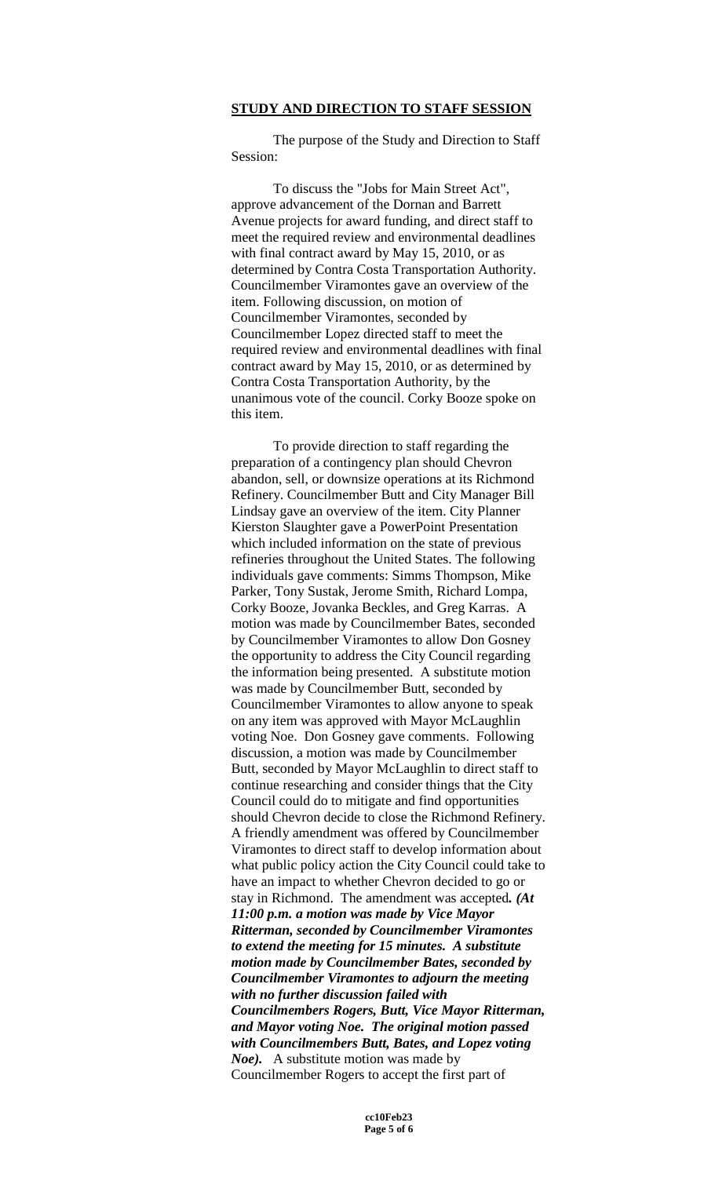## **STUDY AND DIRECTION TO STAFF SESSION**

The purpose of the Study and Direction to Staff Session:

To discuss the "Jobs for Main Street Act", approve advancement of the Dornan and Barrett Avenue projects for award funding, and direct staff to meet the required review and environmental deadlines with final contract award by May 15, 2010, or as determined by Contra Costa Transportation Authority. Councilmember Viramontes gave an overview of the item. Following discussion, on motion of Councilmember Viramontes, seconded by Councilmember Lopez directed staff to meet the required review and environmental deadlines with final contract award by May 15, 2010, or as determined by Contra Costa Transportation Authority, by the unanimous vote of the council. Corky Booze spoke on this item.

To provide direction to staff regarding the preparation of a contingency plan should Chevron abandon, sell, or downsize operations at its Richmond Refinery. Councilmember Butt and City Manager Bill Lindsay gave an overview of the item. City Planner Kierston Slaughter gave a PowerPoint Presentation which included information on the state of previous refineries throughout the United States. The following individuals gave comments: Simms Thompson, Mike Parker, Tony Sustak, Jerome Smith, Richard Lompa, Corky Booze, Jovanka Beckles, and Greg Karras. A motion was made by Councilmember Bates, seconded by Councilmember Viramontes to allow Don Gosney the opportunity to address the City Council regarding the information being presented. A substitute motion was made by Councilmember Butt, seconded by Councilmember Viramontes to allow anyone to speak on any item was approved with Mayor McLaughlin voting Noe. Don Gosney gave comments. Following discussion, a motion was made by Councilmember Butt, seconded by Mayor McLaughlin to direct staff to continue researching and consider things that the City Council could do to mitigate and find opportunities should Chevron decide to close the Richmond Refinery. A friendly amendment was offered by Councilmember Viramontes to direct staff to develop information about what public policy action the City Council could take to have an impact to whether Chevron decided to go or stay in Richmond. The amendment was accepted*. (At 11:00 p.m. a motion was made by Vice Mayor Ritterman, seconded by Councilmember Viramontes to extend the meeting for 15 minutes. A substitute motion made by Councilmember Bates, seconded by Councilmember Viramontes to adjourn the meeting with no further discussion failed with Councilmembers Rogers, Butt, Vice Mayor Ritterman, and Mayor voting Noe. The original motion passed with Councilmembers Butt, Bates, and Lopez voting Noe).* A substitute motion was made by Councilmember Rogers to accept the first part of